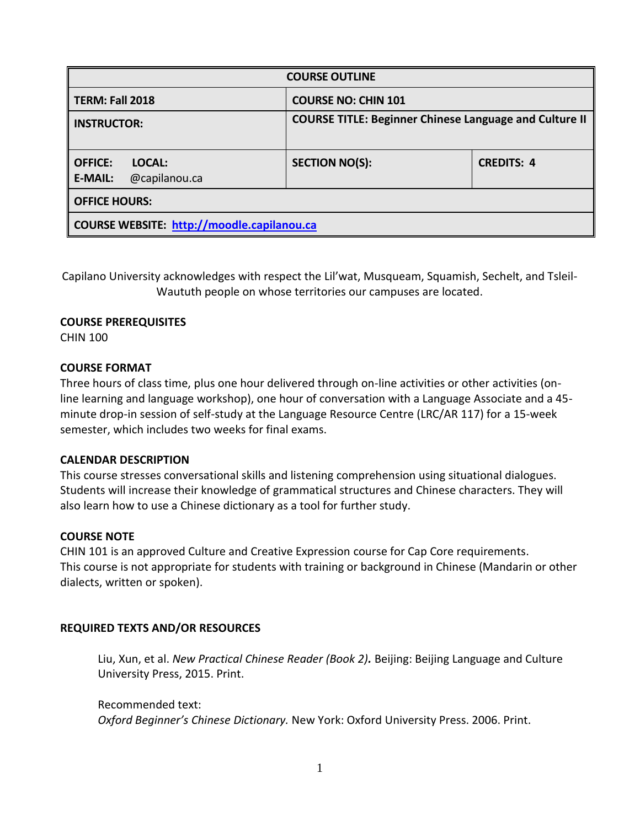| <b>COURSE OUTLINE</b>                                       |                                                               |                   |  |  |  |
|-------------------------------------------------------------|---------------------------------------------------------------|-------------------|--|--|--|
| TERM: Fall 2018                                             | <b>COURSE NO: CHIN 101</b>                                    |                   |  |  |  |
| <b>INSTRUCTOR:</b>                                          | <b>COURSE TITLE: Beginner Chinese Language and Culture II</b> |                   |  |  |  |
| <b>OFFICE:</b><br>LOCAL:<br><b>E-MAIL:</b><br>@capilanou.ca | <b>SECTION NO(S):</b>                                         | <b>CREDITS: 4</b> |  |  |  |
| <b>OFFICE HOURS:</b>                                        |                                                               |                   |  |  |  |
| <b>COURSE WEBSITE: http://moodle.capilanou.ca</b>           |                                                               |                   |  |  |  |

Capilano University acknowledges with respect the Lil'wat, Musqueam, Squamish, Sechelt, and Tsleil-Waututh people on whose territories our campuses are located.

## **COURSE PREREQUISITES**

CHIN 100

## **COURSE FORMAT**

Three hours of class time, plus one hour delivered through on-line activities or other activities (online learning and language workshop), one hour of conversation with a Language Associate and a 45 minute drop-in session of self-study at the Language Resource Centre (LRC/AR 117) for a 15-week semester, which includes two weeks for final exams.

## **CALENDAR DESCRIPTION**

This course stresses conversational skills and listening comprehension using situational dialogues. Students will increase their knowledge of grammatical structures and Chinese characters. They will also learn how to use a Chinese dictionary as a tool for further study.

## **COURSE NOTE**

CHIN 101 is an approved Culture and Creative Expression course for Cap Core requirements. This course is not appropriate for students with training or background in Chinese (Mandarin or other dialects, written or spoken).

## **REQUIRED TEXTS AND/OR RESOURCES**

Liu, Xun, et al. *New Practical Chinese Reader (Book 2).* Beijing: Beijing Language and Culture University Press, 2015. Print.

### Recommended text:

*Oxford Beginner's Chinese Dictionary.* New York: Oxford University Press. 2006. Print.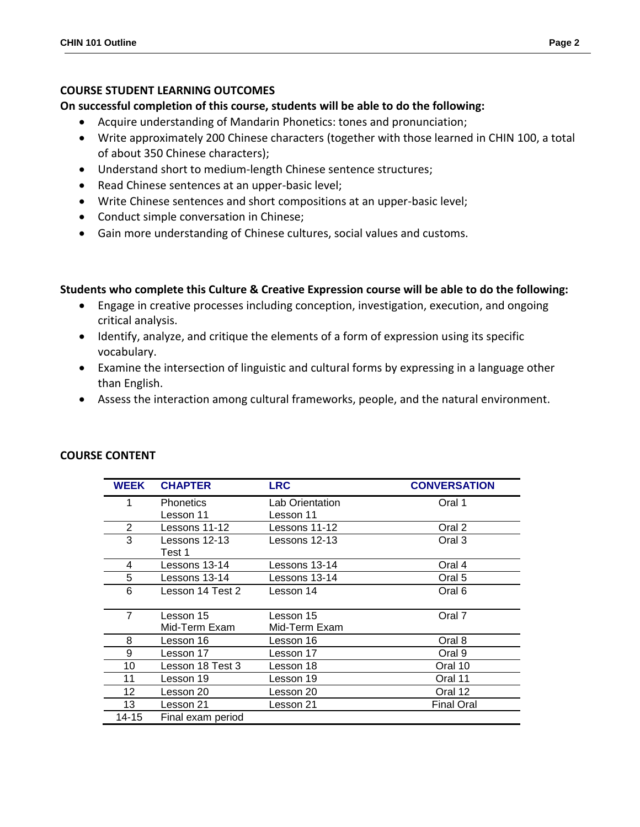## **COURSE STUDENT LEARNING OUTCOMES**

## **On successful completion of this course, students will be able to do the following:**

- Acquire understanding of Mandarin Phonetics: tones and pronunciation;
- Write approximately 200 Chinese characters (together with those learned in CHIN 100, a total of about 350 Chinese characters);
- Understand short to medium-length Chinese sentence structures;
- Read Chinese sentences at an upper-basic level;
- Write Chinese sentences and short compositions at an upper-basic level;
- Conduct simple conversation in Chinese;
- Gain more understanding of Chinese cultures, social values and customs.

## **Students who complete this Culture & Creative Expression course will be able to do the following:**

- Engage in creative processes including conception, investigation, execution, and ongoing critical analysis.
- Identify, analyze, and critique the elements of a form of expression using its specific vocabulary.
- Examine the intersection of linguistic and cultural forms by expressing in a language other than English.
- Assess the interaction among cultural frameworks, people, and the natural environment.

| WEEK  | <b>CHAPTER</b>    | <b>LRC</b>      | <b>CONVERSATION</b> |
|-------|-------------------|-----------------|---------------------|
| 1     | <b>Phonetics</b>  | Lab Orientation | Oral 1              |
|       | Lesson 11         | Lesson 11       |                     |
| 2     | Lessons 11-12     | Lessons 11-12   | Oral 2              |
| 3     | Lessons 12-13     | Lessons 12-13   | Oral 3              |
|       | Test 1            |                 |                     |
| 4     | Lessons 13-14     | Lessons 13-14   | Oral 4              |
| 5     | Lessons 13-14     | Lessons 13-14   | Oral 5              |
| 6     | Lesson 14 Test 2  | Lesson 14       | Oral 6              |
|       |                   |                 |                     |
| 7     | Lesson 15         | Lesson 15       | Oral 7              |
|       | Mid-Term Exam     | Mid-Term Exam   |                     |
| 8     | Lesson 16         | Lesson 16       | Oral 8              |
| 9     | Lesson 17         | Lesson 17       | Oral 9              |
| 10    | Lesson 18 Test 3  | Lesson 18       | Oral 10             |
| 11    | Lesson 19         | Lesson 19       | Oral 11             |
| 12    | Lesson 20         | Lesson 20       | Oral 12             |
| 13    | Lesson 21         | Lesson 21       | <b>Final Oral</b>   |
| 14-15 | Final exam period |                 |                     |

### **COURSE CONTENT**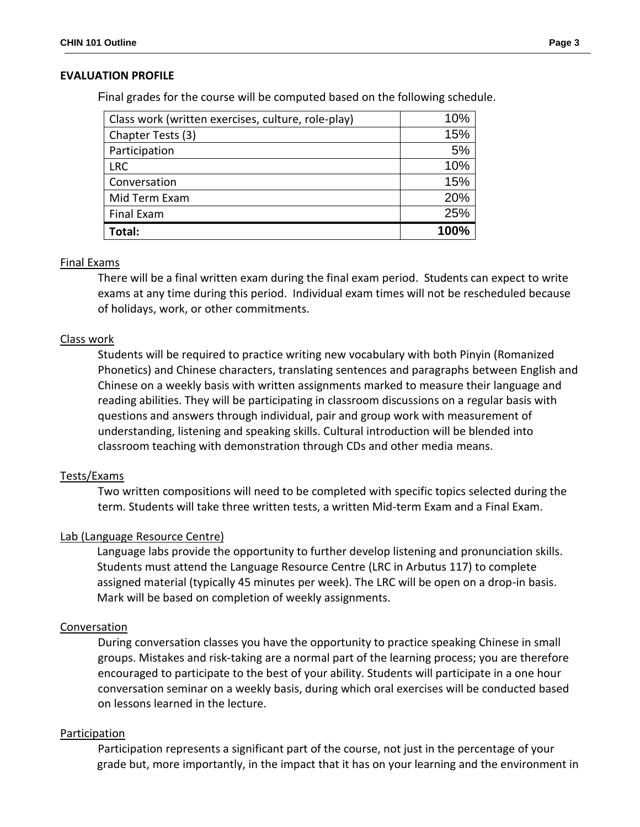## **EVALUATION PROFILE**

Final grades for the course will be computed based on the following schedule.

| Class work (written exercises, culture, role-play) | 10%  |
|----------------------------------------------------|------|
| Chapter Tests (3)                                  | 15%  |
| Participation                                      | 5%   |
| <b>LRC</b>                                         | 10%  |
| Conversation                                       | 15%  |
| Mid Term Exam                                      | 20%  |
| <b>Final Exam</b>                                  | 25%  |
| Total:                                             | 100% |

#### Final Exams

There will be a final written exam during the final exam period. Students can expect to write exams at any time during this period. Individual exam times will not be rescheduled because of holidays, work, or other commitments.

#### Class work

Students will be required to practice writing new vocabulary with both Pinyin (Romanized Phonetics) and Chinese characters, translating sentences and paragraphs between English and Chinese on a weekly basis with written assignments marked to measure their language and reading abilities. They will be participating in classroom discussions on a regular basis with questions and answers through individual, pair and group work with measurement of understanding, listening and speaking skills. Cultural introduction will be blended into classroom teaching with demonstration through CDs and other media means.

#### Tests/Exams

Two written compositions will need to be completed with specific topics selected during the term. Students will take three written tests, a written Mid-term Exam and a Final Exam.

### Lab (Language Resource Centre)

 Language labs provide the opportunity to further develop listening and pronunciation skills. Students must attend the Language Resource Centre (LRC in Arbutus 117) to complete assigned material (typically 45 minutes per week). The LRC will be open on a drop-in basis. Mark will be based on completion of weekly assignments.

#### Conversation

During conversation classes you have the opportunity to practice speaking Chinese in small groups. Mistakes and risk-taking are a normal part of the learning process; you are therefore encouraged to participate to the best of your ability. Students will participate in a one hour conversation seminar on a weekly basis, during which oral exercises will be conducted based on lessons learned in the lecture.

#### **Participation**

Participation represents a significant part of the course, not just in the percentage of your grade but, more importantly, in the impact that it has on your learning and the environment in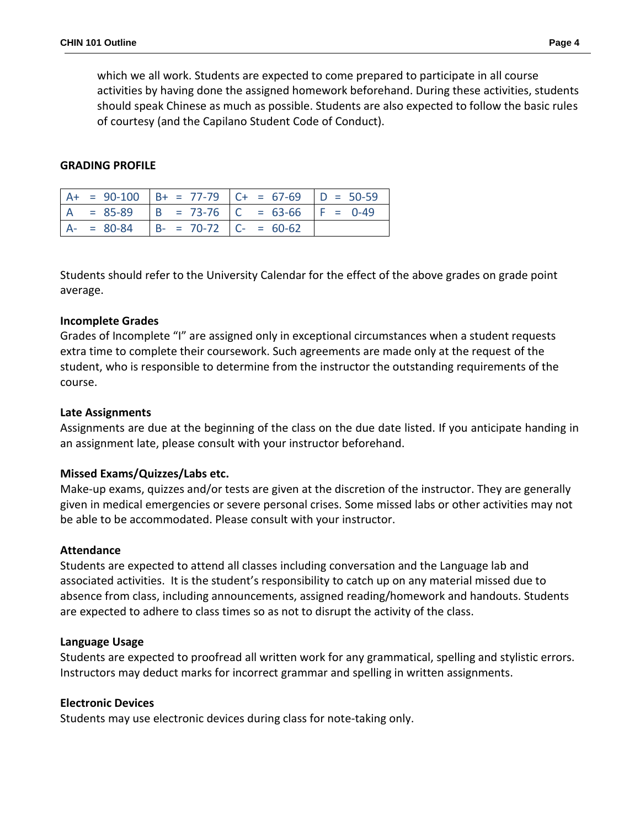which we all work. Students are expected to come prepared to participate in all course activities by having done the assigned homework beforehand. During these activities, students should speak Chinese as much as possible. Students are also expected to follow the basic rules of courtesy (and the Capilano Student Code of Conduct).

## **GRADING PROFILE**

|  |                                        | $A+ = 90-100$ $B+ = 77-79$ $C+ = 67-69$ $D = 50-59$ |  |
|--|----------------------------------------|-----------------------------------------------------|--|
|  |                                        | $A = 85-89$ $B = 73-76$ $C = 63-66$ $F = 0-49$      |  |
|  | $A- = 80-84$ $B- = 70-72$ $C- = 60-62$ |                                                     |  |

Students should refer to the University Calendar for the effect of the above grades on grade point average.

## **Incomplete Grades**

Grades of Incomplete "I" are assigned only in exceptional circumstances when a student requests extra time to complete their coursework. Such agreements are made only at the request of the student, who is responsible to determine from the instructor the outstanding requirements of the course.

## **Late Assignments**

Assignments are due at the beginning of the class on the due date listed. If you anticipate handing in an assignment late, please consult with your instructor beforehand.

## **Missed Exams/Quizzes/Labs etc.**

Make-up exams, quizzes and/or tests are given at the discretion of the instructor. They are generally given in medical emergencies or severe personal crises. Some missed labs or other activities may not be able to be accommodated. Please consult with your instructor.

### **Attendance**

Students are expected to attend all classes including conversation and the Language lab and associated activities. It is the student's responsibility to catch up on any material missed due to absence from class, including announcements, assigned reading/homework and handouts. Students are expected to adhere to class times so as not to disrupt the activity of the class.

### **Language Usage**

Students are expected to proofread all written work for any grammatical, spelling and stylistic errors. Instructors may deduct marks for incorrect grammar and spelling in written assignments.

### **Electronic Devices**

Students may use electronic devices during class for note-taking only.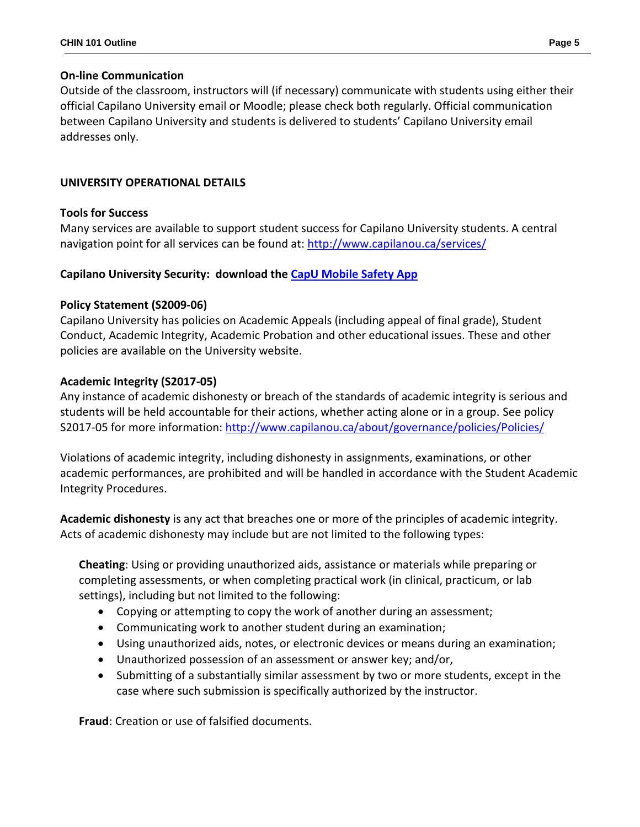# **On-line Communication**

Outside of the classroom, instructors will (if necessary) communicate with students using either their official Capilano University email or Moodle; please check both regularly. Official communication between Capilano University and students is delivered to students' Capilano University email addresses only.

# **UNIVERSITY OPERATIONAL DETAILS**

# **Tools for Success**

Many services are available to support student success for Capilano University students. A central navigation point for all services can be found at:<http://www.capilanou.ca/services/>

# **Capilano University Security: download the [CapU Mobile Safety App](https://www.capilanou.ca/services/safety-security/CapU-Mobile-Safety-App/)**

# **Policy Statement (S2009-06)**

Capilano University has policies on Academic Appeals (including appeal of final grade), Student Conduct, Academic Integrity, Academic Probation and other educational issues. These and other policies are available on the University website.

# **Academic Integrity (S2017-05)**

Any instance of academic dishonesty or breach of the standards of academic integrity is serious and students will be held accountable for their actions, whether acting alone or in a group. See policy S2017-05 for more information:<http://www.capilanou.ca/about/governance/policies/Policies/>

Violations of academic integrity, including dishonesty in assignments, examinations, or other academic performances, are prohibited and will be handled in accordance with the Student Academic Integrity Procedures.

**Academic dishonesty** is any act that breaches one or more of the principles of academic integrity. Acts of academic dishonesty may include but are not limited to the following types:

**Cheating**: Using or providing unauthorized aids, assistance or materials while preparing or completing assessments, or when completing practical work (in clinical, practicum, or lab settings), including but not limited to the following:

- Copying or attempting to copy the work of another during an assessment;
- Communicating work to another student during an examination;
- Using unauthorized aids, notes, or electronic devices or means during an examination;
- Unauthorized possession of an assessment or answer key; and/or,
- Submitting of a substantially similar assessment by two or more students, except in the case where such submission is specifically authorized by the instructor.

**Fraud**: Creation or use of falsified documents.